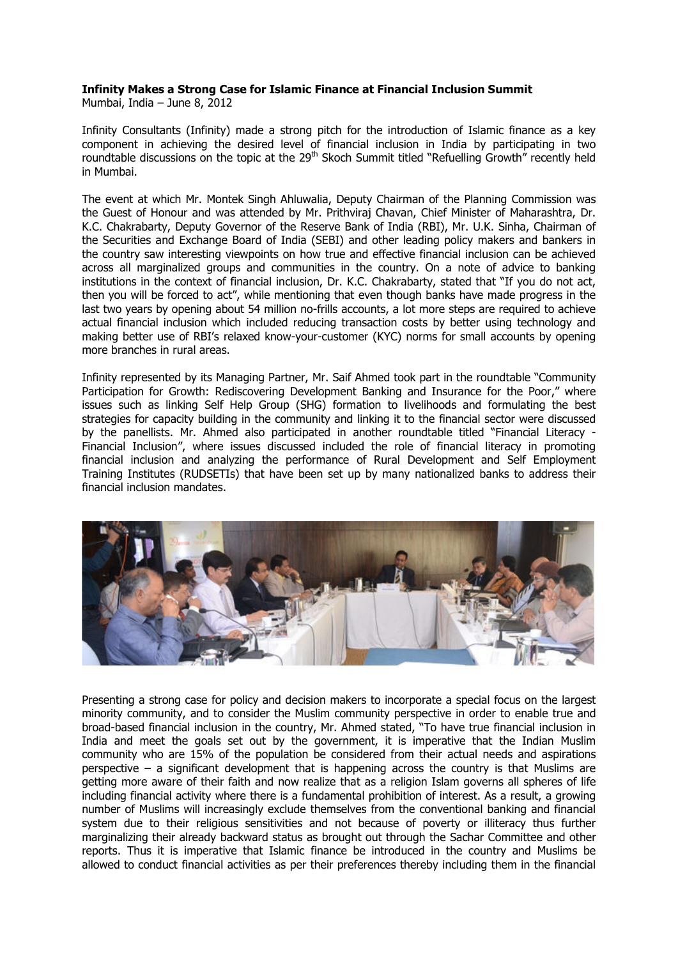## **Infinity Makes a Strong Case for Islamic Finance at Financial Inclusion Summit**

Mumbai, India – June 8, 2012

Infinity Consultants (Infinity) made a strong pitch for the introduction of Islamic finance as a key component in achieving the desired level of financial inclusion in India by participating in two roundtable discussions on the topic at the 29<sup>th</sup> Skoch Summit titled "Refuelling Growth" recently held in Mumbai.

The event at which Mr. Montek Singh Ahluwalia, Deputy Chairman of the Planning Commission was the Guest of Honour and was attended by Mr. Prithviraj Chavan, Chief Minister of Maharashtra, Dr. K.C. Chakrabarty, Deputy Governor of the Reserve Bank of India (RBI), Mr. U.K. Sinha, Chairman of the Securities and Exchange Board of India (SEBI) and other leading policy makers and bankers in the country saw interesting viewpoints on how true and effective financial inclusion can be achieved across all marginalized groups and communities in the country. On a note of advice to banking institutions in the context of financial inclusion, Dr. K.C. Chakrabarty, stated that "If you do not act, then you will be forced to act", while mentioning that even though banks have made progress in the last two years by opening about 54 million no-frills accounts, a lot more steps are required to achieve actual financial inclusion which included reducing transaction costs by better using technology and making better use of RBI's relaxed know-your-customer (KYC) norms for small accounts by opening more branches in rural areas.

Infinity represented by its Managing Partner, Mr. Saif Ahmed took part in the roundtable "Community Participation for Growth: Rediscovering Development Banking and Insurance for the Poor," where issues such as linking Self Help Group (SHG) formation to livelihoods and formulating the best strategies for capacity building in the community and linking it to the financial sector were discussed by the panellists. Mr. Ahmed also participated in another roundtable titled "Financial Literacy - Financial Inclusion", where issues discussed included the role of financial literacy in promoting financial inclusion and analyzing the performance of Rural Development and Self Employment Training Institutes (RUDSETIs) that have been set up by many nationalized banks to address their financial inclusion mandates.



Presenting a strong case for policy and decision makers to incorporate a special focus on the largest minority community, and to consider the Muslim community perspective in order to enable true and broad-based financial inclusion in the country, Mr. Ahmed stated, "To have true financial inclusion in India and meet the goals set out by the government, it is imperative that the Indian Muslim community who are 15% of the population be considered from their actual needs and aspirations perspective – a significant development that is happening across the country is that Muslims are getting more aware of their faith and now realize that as a religion Islam governs all spheres of life including financial activity where there is a fundamental prohibition of interest. As a result, a growing number of Muslims will increasingly exclude themselves from the conventional banking and financial system due to their religious sensitivities and not because of poverty or illiteracy thus further marginalizing their already backward status as brought out through the Sachar Committee and other reports. Thus it is imperative that Islamic finance be introduced in the country and Muslims be allowed to conduct financial activities as per their preferences thereby including them in the financial